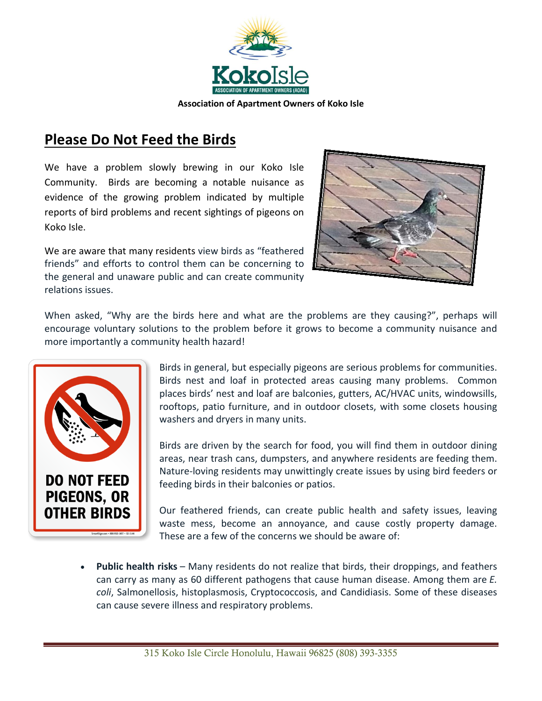

## **Please Do Not Feed the Birds**

We have a problem slowly brewing in our Koko Isle Community. Birds are becoming a notable nuisance as evidence of the growing problem indicated by multiple reports of bird problems and recent sightings of pigeons on Koko Isle.

We are aware that many residents view birds as "feathered friends" and efforts to control them can be concerning to the general and unaware public and can create community relations issues.



When asked, "Why are the birds here and what are the problems are they causing?", perhaps will encourage voluntary solutions to the problem before it grows to become a community nuisance and more importantly a community health hazard!



Birds in general, but especially pigeons are serious problems for communities. Birds nest and loaf in protected areas causing many problems. Common places birds' nest and loaf are balconies, gutters, AC/HVAC units, windowsills, rooftops, patio furniture, and in outdoor closets, with some closets housing washers and dryers in many units.

Birds are driven by the search for food, you will find them in outdoor dining areas, near trash cans, dumpsters, and anywhere residents are feeding them. Nature-loving residents may unwittingly create issues by using bird feeders or feeding birds in their balconies or patios.

Our feathered friends, can create public health and safety issues, leaving waste mess, become an annoyance, and cause costly property damage. These are a few of the concerns we should be aware of:

• **Public health risks** – Many residents do not realize that birds, their droppings, and feathers can carry as many as 60 different pathogens that cause human disease. Among them are *E. coli*, Salmonellosis, histoplasmosis, Cryptococcosis, and Candidiasis. Some of these diseases can cause severe illness and respiratory problems.